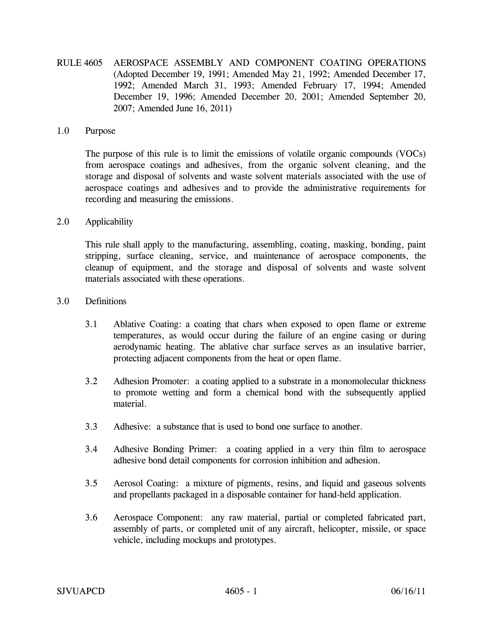RULE 4605 AEROSPACE ASSEMBLY AND COMPONENT COATING OPERATIONS (Adopted December 19, 1991; Amended May 21, 1992; Amended December 17, 1992; Amended March 31, 1993; Amended February 17, 1994; Amended December 19, 1996; Amended December 20, 2001; Amended September 20, 2007; Amended June 16, 2011)

## 1.0 Purpose

The purpose of this rule is to limit the emissions of volatile organic compounds (VOCs) from aerospace coatings and adhesives, from the organic solvent cleaning, and the storage and disposal of solvents and waste solvent materials associated with the use of aerospace coatings and adhesives and to provide the administrative requirements for recording and measuring the emissions.

## 2.0 Applicability

This rule shall apply to the manufacturing, assembling, coating, masking, bonding, paint stripping, surface cleaning, service, and maintenance of aerospace components, the cleanup of equipment, and the storage and disposal of solvents and waste solvent materials associated with these operations.

- 3.0 Definitions
	- 3.1 Ablative Coating: a coating that chars when exposed to open flame or extreme temperatures, as would occur during the failure of an engine casing or during aerodynamic heating. The ablative char surface serves as an insulative barrier, protecting adjacent components from the heat or open flame.
	- 3.2 Adhesion Promoter: a coating applied to a substrate in a monomolecular thickness to promote wetting and form a chemical bond with the subsequently applied material.
	- 3.3 Adhesive: a substance that is used to bond one surface to another.
	- 3.4 Adhesive Bonding Primer: a coating applied in a very thin film to aerospace adhesive bond detail components for corrosion inhibition and adhesion.
	- 3.5 Aerosol Coating: a mixture of pigments, resins, and liquid and gaseous solvents and propellants packaged in a disposable container for hand-held application.
	- 3.6 Aerospace Component: any raw material, partial or completed fabricated part, assembly of parts, or completed unit of any aircraft, helicopter, missile, or space vehicle, including mockups and prototypes.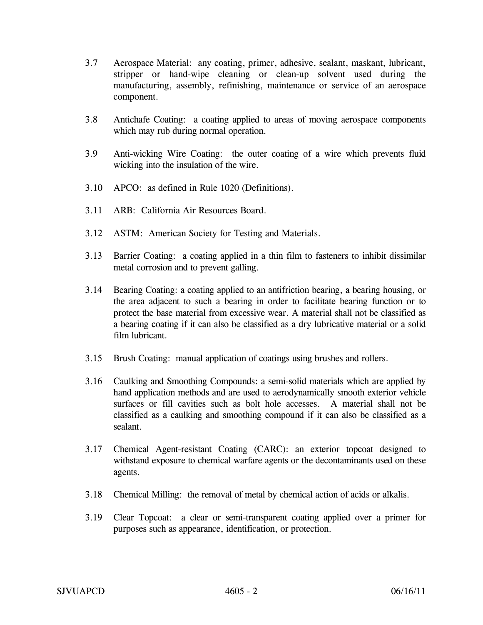- 3.7 Aerospace Material: any coating, primer, adhesive, sealant, maskant, lubricant, stripper or hand-wipe cleaning or clean-up solvent used during the manufacturing, assembly, refinishing, maintenance or service of an aerospace component.
- 3.8 Antichafe Coating: a coating applied to areas of moving aerospace components which may rub during normal operation.
- 3.9 Anti-wicking Wire Coating: the outer coating of a wire which prevents fluid wicking into the insulation of the wire.
- 3.10 APCO: as defined in Rule 1020 (Definitions).
- 3.11 ARB: California Air Resources Board.
- 3.12 ASTM: American Society for Testing and Materials.
- 3.13 Barrier Coating: a coating applied in a thin film to fasteners to inhibit dissimilar metal corrosion and to prevent galling.
- 3.14 Bearing Coating: a coating applied to an antifriction bearing, a bearing housing, or the area adjacent to such a bearing in order to facilitate bearing function or to protect the base material from excessive wear. A material shall not be classified as a bearing coating if it can also be classified as a dry lubricative material or a solid film lubricant.
- 3.15 Brush Coating: manual application of coatings using brushes and rollers.
- 3.16 Caulking and Smoothing Compounds: a semi-solid materials which are applied by hand application methods and are used to aerodynamically smooth exterior vehicle surfaces or fill cavities such as bolt hole accesses. A material shall not be classified as a caulking and smoothing compound if it can also be classified as a sealant.
- 3.17 Chemical Agent-resistant Coating (CARC): an exterior topcoat designed to withstand exposure to chemical warfare agents or the decontaminants used on these agents.
- 3.18 Chemical Milling: the removal of metal by chemical action of acids or alkalis.
- 3.19 Clear Topcoat: a clear or semi-transparent coating applied over a primer for purposes such as appearance, identification, or protection.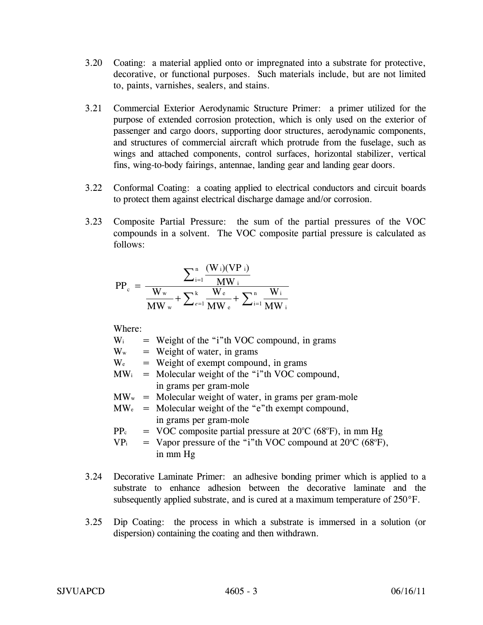- 3.20 Coating: a material applied onto or impregnated into a substrate for protective, decorative, or functional purposes. Such materials include, but are not limited to, paints, varnishes, sealers, and stains.
- 3.21 Commercial Exterior Aerodynamic Structure Primer: a primer utilized for the purpose of extended corrosion protection, which is only used on the exterior of passenger and cargo doors, supporting door structures, aerodynamic components, and structures of commercial aircraft which protrude from the fuselage, such as wings and attached components, control surfaces, horizontal stabilizer, vertical fins, wing-to-body fairings, antennae, landing gear and landing gear doors.
- 3.22 Conformal Coating: a coating applied to electrical conductors and circuit boards to protect them against electrical discharge damage and/or corrosion.
- 3.23 Composite Partial Pressure: the sum of the partial pressures of the VOC compounds in a solvent. The VOC composite partial pressure is calculated as follows:

$$
PP_c\,=\,\frac{\displaystyle\sum_{i=1}^{n}\frac{(W_i)(VP_i)}{MW_i}}{\frac{W_w}{MW_w}+\sum_{e=1}^{k}\frac{W_e}{MW_e}+\sum_{i=1}^{n}\frac{W_i}{MW_i}}
$$

Where:

| $\mathrm{W_{i}}$           | = Weight of the "i"th VOC compound, in grams                                     |
|----------------------------|----------------------------------------------------------------------------------|
| $\mathbf{W}_{\mathrm{w}}$  | $=$ Weight of water, in grams                                                    |
| $\mathrm{W_{e}}$           | = Weight of exempt compound, in grams                                            |
| $\mathbf{MW_{i}}$          | = Molecular weight of the "i"th VOC compound,                                    |
|                            | in grams per gram-mole                                                           |
| $\mathbf{MW}_{\mathrm{w}}$ | = Molecular weight of water, in grams per gram-mole                              |
| $\text{MW}_\text{e}$       | = Molecular weight of the "e"th exempt compound,                                 |
|                            | in grams per gram-mole                                                           |
| $PP_c$                     | $=$ VOC composite partial pressure at 20 $\degree$ C (68 $\degree$ F), in mm Hg  |
| VP <sub>i</sub>            | $=$ Vapor pressure of the "i"th VOC compound at 20 $\degree$ C (68 $\degree$ F), |
|                            | in mm Hg                                                                         |
|                            |                                                                                  |

- 3.24 Decorative Laminate Primer: an adhesive bonding primer which is applied to a substrate to enhance adhesion between the decorative laminate and the subsequently applied substrate, and is cured at a maximum temperature of 250°F.
- 3.25 Dip Coating: the process in which a substrate is immersed in a solution (or dispersion) containing the coating and then withdrawn.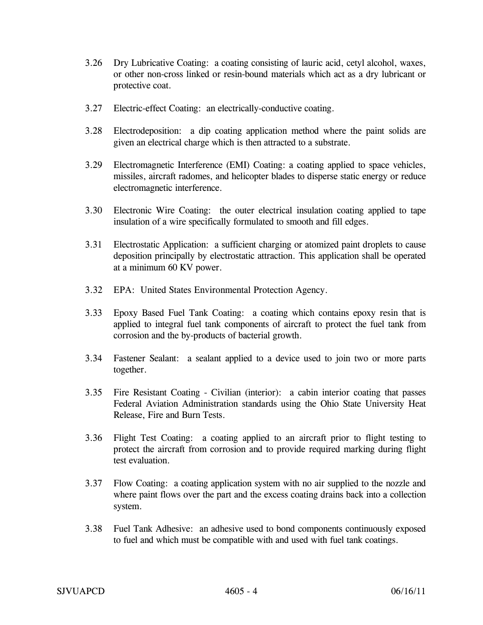- 3.26 Dry Lubricative Coating: a coating consisting of lauric acid, cetyl alcohol, waxes, or other non-cross linked or resin-bound materials which act as a dry lubricant or protective coat.
- 3.27 Electric-effect Coating: an electrically-conductive coating.
- 3.28 Electrodeposition: a dip coating application method where the paint solids are given an electrical charge which is then attracted to a substrate.
- 3.29 Electromagnetic Interference (EMI) Coating: a coating applied to space vehicles, missiles, aircraft radomes, and helicopter blades to disperse static energy or reduce electromagnetic interference.
- 3.30 Electronic Wire Coating: the outer electrical insulation coating applied to tape insulation of a wire specifically formulated to smooth and fill edges.
- 3.31 Electrostatic Application: a sufficient charging or atomized paint droplets to cause deposition principally by electrostatic attraction. This application shall be operated at a minimum 60 KV power.
- 3.32 EPA: United States Environmental Protection Agency.
- 3.33 Epoxy Based Fuel Tank Coating: a coating which contains epoxy resin that is applied to integral fuel tank components of aircraft to protect the fuel tank from corrosion and the by-products of bacterial growth.
- 3.34 Fastener Sealant: a sealant applied to a device used to join two or more parts together.
- 3.35 Fire Resistant Coating Civilian (interior): a cabin interior coating that passes Federal Aviation Administration standards using the Ohio State University Heat Release, Fire and Burn Tests.
- 3.36 Flight Test Coating: a coating applied to an aircraft prior to flight testing to protect the aircraft from corrosion and to provide required marking during flight test evaluation.
- 3.37 Flow Coating: a coating application system with no air supplied to the nozzle and where paint flows over the part and the excess coating drains back into a collection system.
- 3.38 Fuel Tank Adhesive: an adhesive used to bond components continuously exposed to fuel and which must be compatible with and used with fuel tank coatings.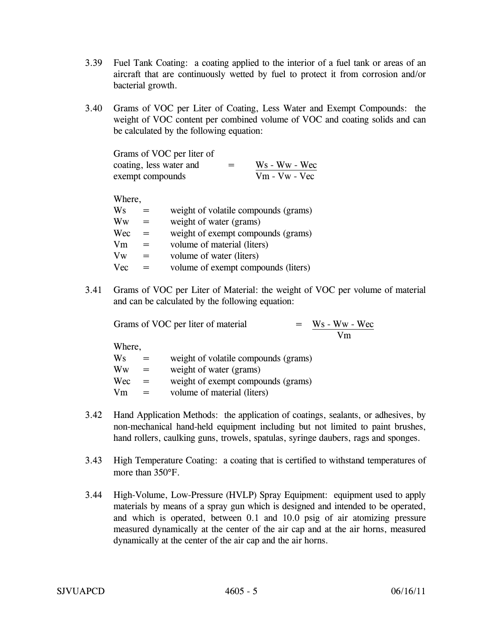- 3.39 Fuel Tank Coating: a coating applied to the interior of a fuel tank or areas of an aircraft that are continuously wetted by fuel to protect it from corrosion and/or bacterial growth.
- 3.40 Grams of VOC per Liter of Coating, Less Water and Exempt Compounds: the weight of VOC content per combined volume of VOC and coating solids and can be calculated by the following equation:

| Grams of VOC per liter of |     |                 |
|---------------------------|-----|-----------------|
| coating, less water and   | $=$ | $Ws - Ww - Wec$ |
| exempt compounds          |     | $Vm - Vw - Vec$ |

Where,

| Ws         | $=$ | weight of volatile compounds (grams) |
|------------|-----|--------------------------------------|
| Ww         | $=$ | weight of water (grams)              |
| Wec        | $=$ | weight of exempt compounds (grams)   |
| Vm         |     | volume of material (liters)          |
| Vw         | $=$ | volume of water (liters)             |
| <b>Vec</b> | $=$ | volume of exempt compounds (liters)  |

3.41 Grams of VOC per Liter of Material: the weight of VOC per volume of material and can be calculated by the following equation:

| Grams of VOC per liter of material |     |                                      | $=$ | $Ws - Ww - Wec$ |
|------------------------------------|-----|--------------------------------------|-----|-----------------|
|                                    |     |                                      |     | Vm              |
| Where,                             |     |                                      |     |                 |
| Ws                                 | $=$ | weight of volatile compounds (grams) |     |                 |
| Ww                                 | $=$ | weight of water (grams)              |     |                 |

 $Wec = weight of the example of the image.$ 

 $Vm = volume of material (liters)$ 

- 3.42 Hand Application Methods: the application of coatings, sealants, or adhesives, by non-mechanical hand-held equipment including but not limited to paint brushes, hand rollers, caulking guns, trowels, spatulas, syringe daubers, rags and sponges.
- 3.43 High Temperature Coating: a coating that is certified to withstand temperatures of more than 350°F.
- 3.44 High-Volume, Low-Pressure (HVLP) Spray Equipment: equipment used to apply materials by means of a spray gun which is designed and intended to be operated, and which is operated, between 0.1 and 10.0 psig of air atomizing pressure measured dynamically at the center of the air cap and at the air horns, measured dynamically at the center of the air cap and the air horns.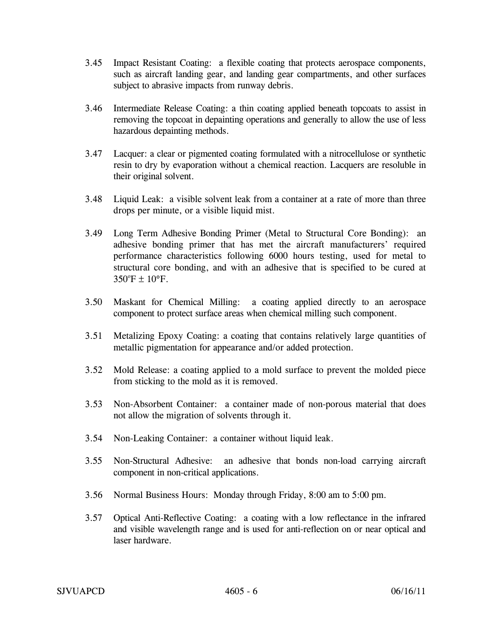- 3.45 Impact Resistant Coating: a flexible coating that protects aerospace components, such as aircraft landing gear, and landing gear compartments, and other surfaces subject to abrasive impacts from runway debris.
- 3.46 Intermediate Release Coating: a thin coating applied beneath topcoats to assist in removing the topcoat in depainting operations and generally to allow the use of less hazardous depainting methods.
- 3.47 Lacquer: a clear or pigmented coating formulated with a nitrocellulose or synthetic resin to dry by evaporation without a chemical reaction. Lacquers are resoluble in their original solvent.
- 3.48 Liquid Leak: a visible solvent leak from a container at a rate of more than three drops per minute, or a visible liquid mist.
- 3.49 Long Term Adhesive Bonding Primer (Metal to Structural Core Bonding): an adhesive bonding primer that has met the aircraft manufacturers' required performance characteristics following 6000 hours testing, used for metal to structural core bonding, and with an adhesive that is specified to be cured at  $350^{\circ}F + 10^{\circ}F$ .
- 3.50 Maskant for Chemical Milling: a coating applied directly to an aerospace component to protect surface areas when chemical milling such component.
- 3.51 Metalizing Epoxy Coating: a coating that contains relatively large quantities of metallic pigmentation for appearance and/or added protection.
- 3.52 Mold Release: a coating applied to a mold surface to prevent the molded piece from sticking to the mold as it is removed.
- 3.53 Non-Absorbent Container: a container made of non-porous material that does not allow the migration of solvents through it.
- 3.54 Non-Leaking Container: a container without liquid leak.
- 3.55 Non-Structural Adhesive: an adhesive that bonds non-load carrying aircraft component in non-critical applications.
- 3.56 Normal Business Hours: Monday through Friday, 8:00 am to 5:00 pm.
- 3.57 Optical Anti-Reflective Coating: a coating with a low reflectance in the infrared and visible wavelength range and is used for anti-reflection on or near optical and laser hardware.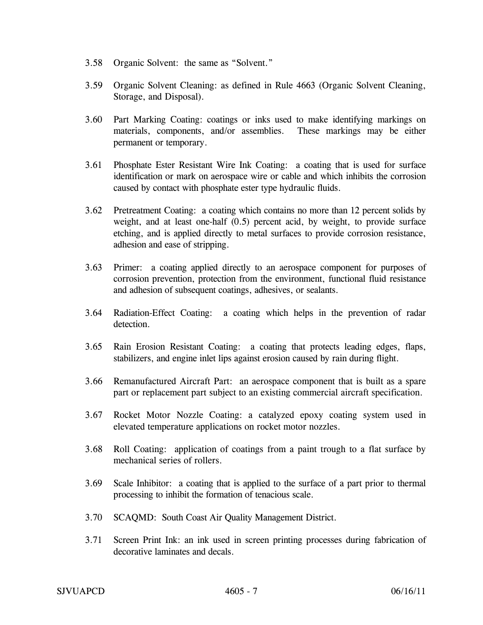- 3.58 Organic Solvent: the same as "Solvent."
- 3.59 Organic Solvent Cleaning: as defined in Rule 4663 (Organic Solvent Cleaning, Storage, and Disposal).
- 3.60 Part Marking Coating: coatings or inks used to make identifying markings on materials, components, and/or assemblies. These markings may be either permanent or temporary.
- 3.61 Phosphate Ester Resistant Wire Ink Coating: a coating that is used for surface identification or mark on aerospace wire or cable and which inhibits the corrosion caused by contact with phosphate ester type hydraulic fluids.
- 3.62 Pretreatment Coating: a coating which contains no more than 12 percent solids by weight, and at least one-half (0.5) percent acid, by weight, to provide surface etching, and is applied directly to metal surfaces to provide corrosion resistance, adhesion and ease of stripping.
- 3.63 Primer: a coating applied directly to an aerospace component for purposes of corrosion prevention, protection from the environment, functional fluid resistance and adhesion of subsequent coatings, adhesives, or sealants.
- 3.64 Radiation-Effect Coating: a coating which helps in the prevention of radar detection.
- 3.65 Rain Erosion Resistant Coating: a coating that protects leading edges, flaps, stabilizers, and engine inlet lips against erosion caused by rain during flight.
- 3.66 Remanufactured Aircraft Part: an aerospace component that is built as a spare part or replacement part subject to an existing commercial aircraft specification.
- 3.67 Rocket Motor Nozzle Coating: a catalyzed epoxy coating system used in elevated temperature applications on rocket motor nozzles.
- 3.68 Roll Coating: application of coatings from a paint trough to a flat surface by mechanical series of rollers.
- 3.69 Scale Inhibitor: a coating that is applied to the surface of a part prior to thermal processing to inhibit the formation of tenacious scale.
- 3.70 SCAQMD: South Coast Air Quality Management District.
- 3.71 Screen Print Ink: an ink used in screen printing processes during fabrication of decorative laminates and decals.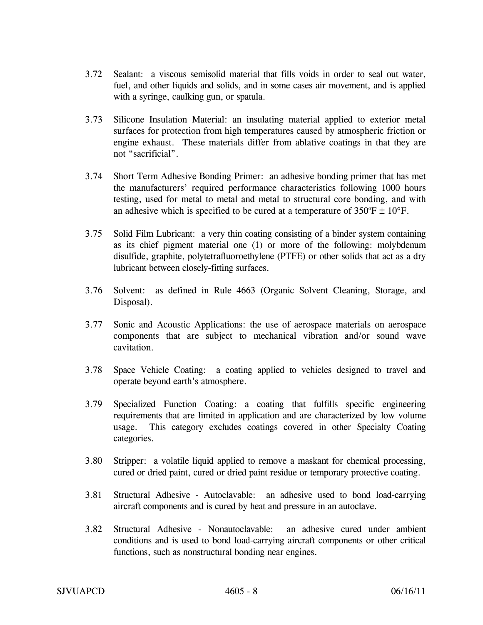- 3.72 Sealant: a viscous semisolid material that fills voids in order to seal out water, fuel, and other liquids and solids, and in some cases air movement, and is applied with a syringe, caulking gun, or spatula.
- 3.73 Silicone Insulation Material: an insulating material applied to exterior metal surfaces for protection from high temperatures caused by atmospheric friction or engine exhaust. These materials differ from ablative coatings in that they are not "sacrificial".
- 3.74 Short Term Adhesive Bonding Primer: an adhesive bonding primer that has met the manufacturers' required performance characteristics following 1000 hours testing, used for metal to metal and metal to structural core bonding, and with an adhesive which is specified to be cured at a temperature of  $350^{\circ}$ F  $\pm$  10°F.
- 3.75 Solid Film Lubricant: a very thin coating consisting of a binder system containing as its chief pigment material one (1) or more of the following: molybdenum disulfide, graphite, polytetrafluoroethylene (PTFE) or other solids that act as a dry lubricant between closely-fitting surfaces.
- 3.76 Solvent: as defined in Rule 4663 (Organic Solvent Cleaning, Storage, and Disposal).
- 3.77 Sonic and Acoustic Applications: the use of aerospace materials on aerospace components that are subject to mechanical vibration and/or sound wave cavitation.
- 3.78 Space Vehicle Coating: a coating applied to vehicles designed to travel and operate beyond earth's atmosphere.
- 3.79 Specialized Function Coating: a coating that fulfills specific engineering requirements that are limited in application and are characterized by low volume usage. This category excludes coatings covered in other Specialty Coating categories.
- 3.80 Stripper: a volatile liquid applied to remove a maskant for chemical processing, cured or dried paint, cured or dried paint residue or temporary protective coating.
- 3.81 Structural Adhesive Autoclavable: an adhesive used to bond load-carrying aircraft components and is cured by heat and pressure in an autoclave.
- 3.82 Structural Adhesive Nonautoclavable: an adhesive cured under ambient conditions and is used to bond load-carrying aircraft components or other critical functions, such as nonstructural bonding near engines.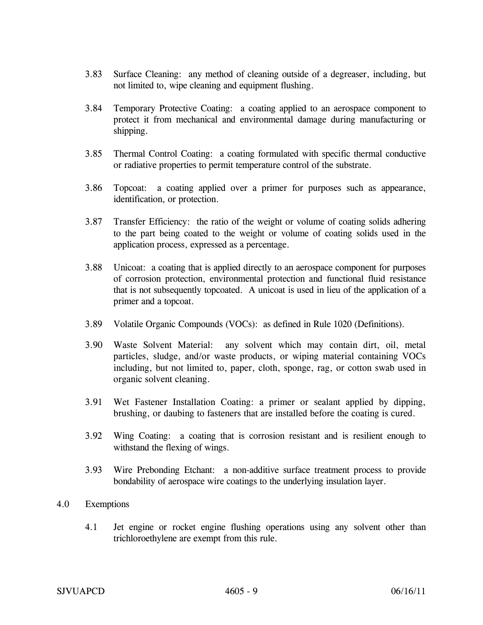- 3.83 Surface Cleaning: any method of cleaning outside of a degreaser, including, but not limited to, wipe cleaning and equipment flushing.
- 3.84 Temporary Protective Coating: a coating applied to an aerospace component to protect it from mechanical and environmental damage during manufacturing or shipping.
- 3.85 Thermal Control Coating: a coating formulated with specific thermal conductive or radiative properties to permit temperature control of the substrate.
- 3.86 Topcoat: a coating applied over a primer for purposes such as appearance, identification, or protection.
- 3.87 Transfer Efficiency: the ratio of the weight or volume of coating solids adhering to the part being coated to the weight or volume of coating solids used in the application process, expressed as a percentage.
- 3.88 Unicoat: a coating that is applied directly to an aerospace component for purposes of corrosion protection, environmental protection and functional fluid resistance that is not subsequently topcoated. A unicoat is used in lieu of the application of a primer and a topcoat.
- 3.89 Volatile Organic Compounds (VOCs): as defined in Rule 1020 (Definitions).
- 3.90 Waste Solvent Material: any solvent which may contain dirt, oil, metal particles, sludge, and/or waste products, or wiping material containing VOCs including, but not limited to, paper, cloth, sponge, rag, or cotton swab used in organic solvent cleaning.
- 3.91 Wet Fastener Installation Coating: a primer or sealant applied by dipping, brushing, or daubing to fasteners that are installed before the coating is cured.
- 3.92 Wing Coating: a coating that is corrosion resistant and is resilient enough to withstand the flexing of wings.
- 3.93 Wire Prebonding Etchant: a non-additive surface treatment process to provide bondability of aerospace wire coatings to the underlying insulation layer.
- 4.0 Exemptions
	- 4.1 Jet engine or rocket engine flushing operations using any solvent other than trichloroethylene are exempt from this rule.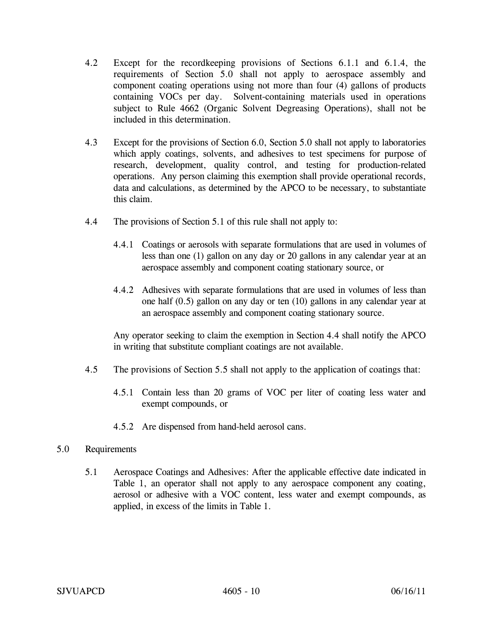- 4.2 Except for the recordkeeping provisions of Sections 6.1.1 and 6.1.4, the requirements of Section 5.0 shall not apply to aerospace assembly and component coating operations using not more than four (4) gallons of products containing VOCs per day. Solvent-containing materials used in operations subject to Rule 4662 (Organic Solvent Degreasing Operations), shall not be included in this determination.
- 4.3 Except for the provisions of Section 6.0, Section 5.0 shall not apply to laboratories which apply coatings, solvents, and adhesives to test specimens for purpose of research, development, quality control, and testing for production-related operations. Any person claiming this exemption shall provide operational records, data and calculations, as determined by the APCO to be necessary, to substantiate this claim.
- 4.4 The provisions of Section 5.1 of this rule shall not apply to:
	- 4.4.1 Coatings or aerosols with separate formulations that are used in volumes of less than one (1) gallon on any day or 20 gallons in any calendar year at an aerospace assembly and component coating stationary source, or
	- 4.4.2 Adhesives with separate formulations that are used in volumes of less than one half (0.5) gallon on any day or ten (10) gallons in any calendar year at an aerospace assembly and component coating stationary source.

Any operator seeking to claim the exemption in Section 4.4 shall notify the APCO in writing that substitute compliant coatings are not available.

- 4.5 The provisions of Section 5.5 shall not apply to the application of coatings that:
	- 4.5.1 Contain less than 20 grams of VOC per liter of coating less water and exempt compounds, or
	- 4.5.2 Are dispensed from hand-held aerosol cans.

## 5.0 Requirements

5.1 Aerospace Coatings and Adhesives: After the applicable effective date indicated in Table 1, an operator shall not apply to any aerospace component any coating, aerosol or adhesive with a VOC content, less water and exempt compounds, as applied, in excess of the limits in Table 1.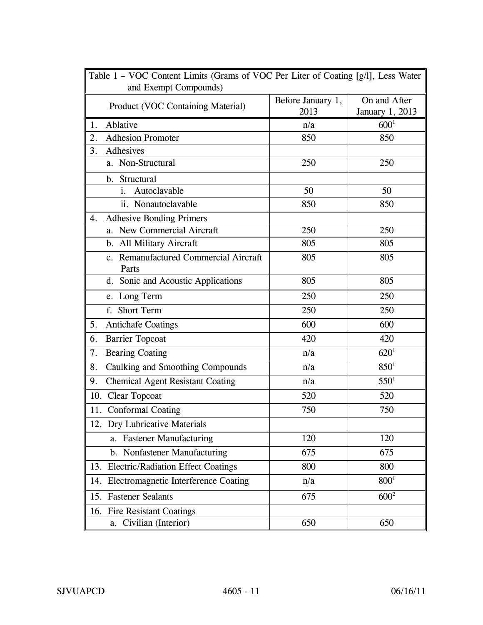| Table 1 - VOC Content Limits (Grams of VOC Per Liter of Coating [g/l], Less Water |                   |                 |
|-----------------------------------------------------------------------------------|-------------------|-----------------|
| and Exempt Compounds)                                                             |                   |                 |
| Product (VOC Containing Material)                                                 | Before January 1, | On and After    |
|                                                                                   | 2013              | January 1, 2013 |
| Ablative<br>1.                                                                    | n/a               | $600^{1}$       |
| 2.<br><b>Adhesion Promoter</b>                                                    | 850               | 850             |
| Adhesives<br>3.                                                                   |                   |                 |
| a. Non-Structural                                                                 | 250               | 250             |
| b. Structural                                                                     |                   |                 |
| Autoclavable<br>i.                                                                | 50                | 50              |
| ii. Nonautoclavable                                                               | 850               | 850             |
| <b>Adhesive Bonding Primers</b><br>4.                                             |                   |                 |
| a. New Commercial Aircraft                                                        | 250               | 250             |
| b. All Military Aircraft                                                          | 805               | 805             |
| c. Remanufactured Commercial Aircraft<br>Parts                                    | 805               | 805             |
| d. Sonic and Acoustic Applications                                                | 805               | 805             |
| e. Long Term                                                                      | 250               | 250             |
| f. Short Term                                                                     | 250               | 250             |
| 5.<br><b>Antichafe Coatings</b>                                                   | 600               | 600             |
| <b>Barrier Topcoat</b><br>6.                                                      | 420               | 420             |
| 7.<br><b>Bearing Coating</b>                                                      | n/a               | $620^1$         |
| Caulking and Smoothing Compounds<br>8.                                            | n/a               | $850^{1}$       |
| <b>Chemical Agent Resistant Coating</b><br>9.                                     | n/a               | $550^1$         |
| 10. Clear Topcoat                                                                 | 520               | 520             |
| 11. Conformal Coating                                                             | 750               | 750             |
| 12. Dry Lubricative Materials                                                     |                   |                 |
| a. Fastener Manufacturing                                                         | 120               | 120             |
| b. Nonfastener Manufacturing                                                      | 675               | 675             |
| 13. Electric/Radiation Effect Coatings                                            | 800               | 800             |
| 14. Electromagnetic Interference Coating                                          | n/a               | $800^{1}$       |
| 15. Fastener Sealants                                                             | 675               | $600^2$         |
| 16. Fire Resistant Coatings                                                       |                   |                 |
| Civilian (Interior)<br>a.                                                         | 650               | 650             |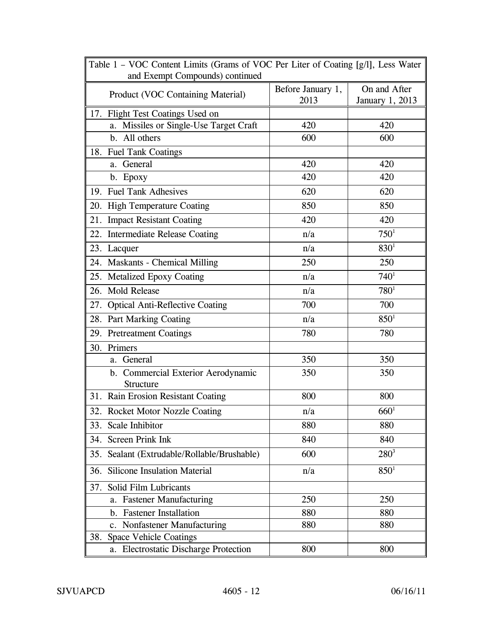| Table 1 – VOC Content Limits (Grams of VOC Per Liter of Coating [g/l], Less Water<br>and Exempt Compounds) continued |                   |                 |  |  |
|----------------------------------------------------------------------------------------------------------------------|-------------------|-----------------|--|--|
|                                                                                                                      | Before January 1, | On and After    |  |  |
| Product (VOC Containing Material)                                                                                    | 2013              | January 1, 2013 |  |  |
| 17. Flight Test Coatings Used on                                                                                     |                   |                 |  |  |
| Missiles or Single-Use Target Craft<br>a.                                                                            | 420               | 420             |  |  |
| b. All others                                                                                                        | 600               | 600             |  |  |
| 18. Fuel Tank Coatings                                                                                               |                   |                 |  |  |
| a. General                                                                                                           | 420               | 420             |  |  |
| b. Epoxy                                                                                                             | 420               | 420             |  |  |
| 19. Fuel Tank Adhesives                                                                                              | 620               | 620             |  |  |
| 20. High Temperature Coating                                                                                         | 850               | 850             |  |  |
| 21. Impact Resistant Coating                                                                                         | 420               | 420             |  |  |
| 22. Intermediate Release Coating                                                                                     | n/a               | $750^1$         |  |  |
| 23. Lacquer                                                                                                          | n/a               | $830^{1}$       |  |  |
| 24. Maskants - Chemical Milling                                                                                      | 250               | 250             |  |  |
| 25. Metalized Epoxy Coating                                                                                          | n/a               | $740^{1}$       |  |  |
| 26. Mold Release                                                                                                     | n/a               | $780^{1}$       |  |  |
| 27. Optical Anti-Reflective Coating                                                                                  | 700               | 700             |  |  |
| 28. Part Marking Coating                                                                                             | n/a               | $850^{1}$       |  |  |
| 29. Pretreatment Coatings                                                                                            | 780               | 780             |  |  |
| 30. Primers                                                                                                          |                   |                 |  |  |
| a. General                                                                                                           | 350               | 350             |  |  |
| b. Commercial Exterior Aerodynamic<br><b>Structure</b>                                                               | 350               | 350             |  |  |
| 31. Rain Erosion Resistant Coating                                                                                   | 800               | 800             |  |  |
| 32. Rocket Motor Nozzle Coating                                                                                      | n/a               | $660^1$         |  |  |
| 33. Scale Inhibitor                                                                                                  | 880               | 880             |  |  |
| 34. Screen Prink Ink                                                                                                 | 840               | 840             |  |  |
| 35. Sealant (Extrudable/Rollable/Brushable)                                                                          | 600               | $280^3$         |  |  |
| 36. Silicone Insulation Material                                                                                     | n/a               | $850^{1}$       |  |  |
| 37. Solid Film Lubricants                                                                                            |                   |                 |  |  |
| <b>Fastener Manufacturing</b><br>a.                                                                                  | 250               | 250             |  |  |
| b. Fastener Installation                                                                                             | 880               | 880             |  |  |
| c. Nonfastener Manufacturing                                                                                         | 880               | 880             |  |  |
| <b>Space Vehicle Coatings</b><br>38.                                                                                 |                   |                 |  |  |
| a. Electrostatic Discharge Protection                                                                                | 800               | 800             |  |  |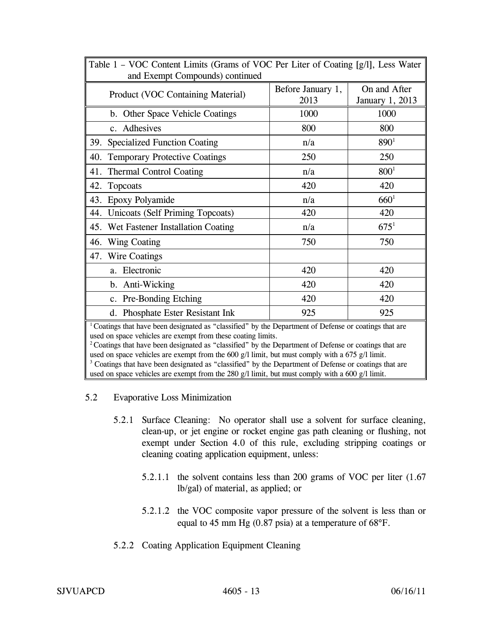| Table 1 – VOC Content Limits (Grams of VOC Per Liter of Coating [g/l], Less Water                                                                                                 |                   |                  |  |  |  |  |  |
|-----------------------------------------------------------------------------------------------------------------------------------------------------------------------------------|-------------------|------------------|--|--|--|--|--|
| and Exempt Compounds) continued                                                                                                                                                   |                   |                  |  |  |  |  |  |
|                                                                                                                                                                                   | Before January 1, | On and After     |  |  |  |  |  |
| Product (VOC Containing Material)                                                                                                                                                 | 2013              | January 1, 2013  |  |  |  |  |  |
| b. Other Space Vehicle Coatings                                                                                                                                                   | 1000              | 1000             |  |  |  |  |  |
| c. Adhesives                                                                                                                                                                      | 800               | 800              |  |  |  |  |  |
| 39. Specialized Function Coating                                                                                                                                                  | n/a               | $890^{1}$        |  |  |  |  |  |
| <b>Temporary Protective Coatings</b><br>40.                                                                                                                                       | 250               | 250              |  |  |  |  |  |
| 41.<br><b>Thermal Control Coating</b>                                                                                                                                             | n/a               | 800 <sup>1</sup> |  |  |  |  |  |
| 42.<br>Topcoats                                                                                                                                                                   | 420               | 420              |  |  |  |  |  |
| 43. Epoxy Polyamide                                                                                                                                                               | n/a               | 660 <sup>1</sup> |  |  |  |  |  |
| 44.<br><b>Unicoats (Self Priming Topcoats)</b>                                                                                                                                    | 420               | 420              |  |  |  |  |  |
| 45.<br>Wet Fastener Installation Coating                                                                                                                                          | n/a               | $675^1$          |  |  |  |  |  |
| 46.<br><b>Wing Coating</b>                                                                                                                                                        | 750               | 750              |  |  |  |  |  |
| 47. Wire Coatings                                                                                                                                                                 |                   |                  |  |  |  |  |  |
| a. Electronic                                                                                                                                                                     | 420               | 420              |  |  |  |  |  |
| b. Anti-Wicking                                                                                                                                                                   | 420               | 420              |  |  |  |  |  |
| c. Pre-Bonding Etching                                                                                                                                                            | 420               | 420              |  |  |  |  |  |
| d. Phosphate Ester Resistant Ink                                                                                                                                                  | 925               | 925              |  |  |  |  |  |
| <sup>1</sup> Coatings that have been designated as "classified" by the Department of Defense or coatings that are<br>used on space vehicles are exempt from these coating limits. |                   |                  |  |  |  |  |  |

 $2^2$  Coatings that have been designated as "classified" by the Department of Defense or coatings that are used on space vehicles are exempt from the 600 g/l limit, but must comply with a 675 g/l limit. <sup>3</sup> Coatings that have been designated as "classified" by the Department of Defense or coatings that are used on space vehicles are exempt from the 280 g/l limit, but must comply with a 600 g/l limit.

- 5.2 Evaporative Loss Minimization
	- 5.2.1 Surface Cleaning: No operator shall use a solvent for surface cleaning, clean-up, or jet engine or rocket engine gas path cleaning or flushing, not exempt under Section 4.0 of this rule, excluding stripping coatings or cleaning coating application equipment, unless:
		- 5.2.1.1 the solvent contains less than 200 grams of VOC per liter (1.67 lb/gal) of material, as applied; or
		- 5.2.1.2 the VOC composite vapor pressure of the solvent is less than or equal to 45 mm Hg (0.87 psia) at a temperature of 68°F.
	- 5.2.2 Coating Application Equipment Cleaning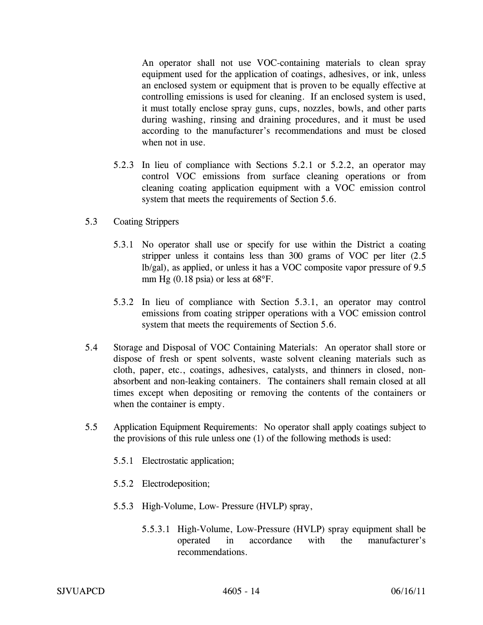An operator shall not use VOC-containing materials to clean spray equipment used for the application of coatings, adhesives, or ink, unless an enclosed system or equipment that is proven to be equally effective at controlling emissions is used for cleaning. If an enclosed system is used, it must totally enclose spray guns, cups, nozzles, bowls, and other parts during washing, rinsing and draining procedures, and it must be used according to the manufacturer's recommendations and must be closed when not in use.

- 5.2.3 In lieu of compliance with Sections 5.2.1 or 5.2.2, an operator may control VOC emissions from surface cleaning operations or from cleaning coating application equipment with a VOC emission control system that meets the requirements of Section 5.6.
- 5.3 Coating Strippers
	- 5.3.1 No operator shall use or specify for use within the District a coating stripper unless it contains less than 300 grams of VOC per liter (2.5 lb/gal), as applied, or unless it has a VOC composite vapor pressure of 9.5 mm Hg (0.18 psia) or less at 68°F.
	- 5.3.2 In lieu of compliance with Section 5.3.1, an operator may control emissions from coating stripper operations with a VOC emission control system that meets the requirements of Section 5.6.
- 5.4 Storage and Disposal of VOC Containing Materials: An operator shall store or dispose of fresh or spent solvents, waste solvent cleaning materials such as cloth, paper, etc., coatings, adhesives, catalysts, and thinners in closed, nonabsorbent and non-leaking containers. The containers shall remain closed at all times except when depositing or removing the contents of the containers or when the container is empty.
- 5.5 Application Equipment Requirements: No operator shall apply coatings subject to the provisions of this rule unless one (1) of the following methods is used:
	- 5.5.1 Electrostatic application;
	- 5.5.2 Electrodeposition;
	- 5.5.3 High-Volume, Low- Pressure (HVLP) spray,
		- 5.5.3.1 High-Volume, Low-Pressure (HVLP) spray equipment shall be operated in accordance with the manufacturer's recommendations.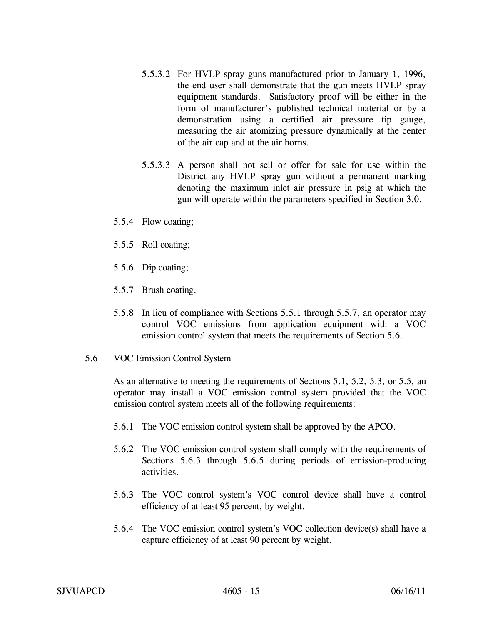- 5.5.3.2 For HVLP spray guns manufactured prior to January 1, 1996, the end user shall demonstrate that the gun meets HVLP spray equipment standards. Satisfactory proof will be either in the form of manufacturer's published technical material or by a demonstration using a certified air pressure tip gauge, measuring the air atomizing pressure dynamically at the center of the air cap and at the air horns.
- 5.5.3.3 A person shall not sell or offer for sale for use within the District any HVLP spray gun without a permanent marking denoting the maximum inlet air pressure in psig at which the gun will operate within the parameters specified in Section 3.0.
- 5.5.4 Flow coating;
- 5.5.5 Roll coating;
- 5.5.6 Dip coating;
- 5.5.7 Brush coating.
- 5.5.8 In lieu of compliance with Sections 5.5.1 through 5.5.7, an operator may control VOC emissions from application equipment with a VOC emission control system that meets the requirements of Section 5.6.
- 5.6 VOC Emission Control System

As an alternative to meeting the requirements of Sections 5.1, 5.2, 5.3, or 5.5, an operator may install a VOC emission control system provided that the VOC emission control system meets all of the following requirements:

- 5.6.1 The VOC emission control system shall be approved by the APCO.
- 5.6.2 The VOC emission control system shall comply with the requirements of Sections 5.6.3 through 5.6.5 during periods of emission-producing activities.
- 5.6.3 The VOC control system's VOC control device shall have a control efficiency of at least 95 percent, by weight.
- 5.6.4 The VOC emission control system's VOC collection device(s) shall have a capture efficiency of at least 90 percent by weight.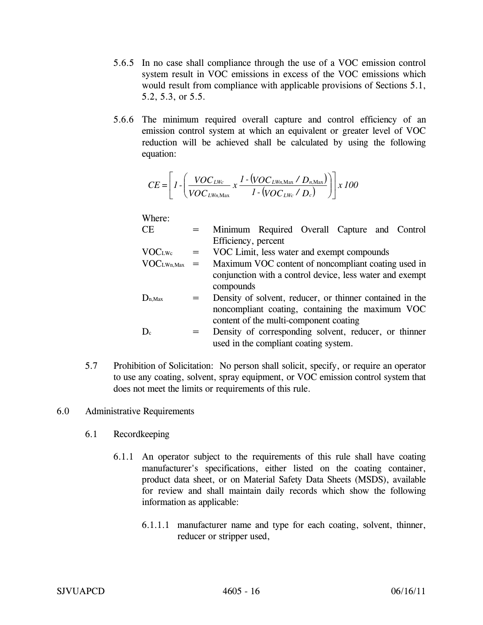- 5.6.5 In no case shall compliance through the use of a VOC emission control system result in VOC emissions in excess of the VOC emissions which would result from compliance with applicable provisions of Sections 5.1, 5.2, 5.3, or 5.5.
- 5.6.6 The minimum required overall capture and control efficiency of an emission control system at which an equivalent or greater level of VOC reduction will be achieved shall be calculated by using the following equation:

$$
CE = \left[1 - \left(\frac{VOC_{LWc}}{VOC_{LWn, \text{Max}}} \times \frac{1 - (VOC_{LWn, \text{Max}} / D_{n, \text{Max}})}{1 - (VOC_{LWc} / D_c)}\right)\right] \times 100
$$

Where:

| $\operatorname{CE}$ | Minimum Required Overall Capture and Control                                                                                                                                                                                                                                                                                                                                                                                                            |  |  |  |
|---------------------|---------------------------------------------------------------------------------------------------------------------------------------------------------------------------------------------------------------------------------------------------------------------------------------------------------------------------------------------------------------------------------------------------------------------------------------------------------|--|--|--|
|                     | Efficiency, percent                                                                                                                                                                                                                                                                                                                                                                                                                                     |  |  |  |
| $\sqrt{2}$          | $\mathbf{X} \mathbf{X} \cap \mathbf{X} \cap \mathbf{X} \cap \mathbf{Y} \cap \mathbf{Y} \cap \mathbf{Y} \cap \mathbf{Y} \cap \mathbf{Y} \cap \mathbf{Y} \cap \mathbf{Y} \cap \mathbf{Y} \cap \mathbf{Y} \cap \mathbf{Y} \cap \mathbf{Y} \cap \mathbf{Y} \cap \mathbf{Y} \cap \mathbf{Y} \cap \mathbf{Y} \cap \mathbf{Y} \cap \mathbf{Y} \cap \mathbf{Y} \cap \mathbf{Y} \cap \mathbf{Y} \cap \mathbf{Y} \cap \mathbf{Y} \cap \mathbf{Y} \cap \mathbf{Y}$ |  |  |  |

| VOC <sub>LWe</sub> |  |  | VOC Limit, less water and exempt compounds |  |
|--------------------|--|--|--------------------------------------------|--|
|                    |  |  |                                            |  |

- $VOC<sub>LWh,Max</sub>$  = Maximum VOC content of noncompliant coating used in conjunction with a control device, less water and exempt compounds
- $D_{n,Max}$  = Density of solvent, reducer, or thinner contained in the noncompliant coating, containing the maximum VOC content of the multi-component coating

 $D_c$  = Density of corresponding solvent, reducer, or thinner used in the compliant coating system.

5.7 Prohibition of Solicitation: No person shall solicit, specify, or require an operator to use any coating, solvent, spray equipment, or VOC emission control system that does not meet the limits or requirements of this rule.

## 6.0 Administrative Requirements

- 6.1 Recordkeeping
	- 6.1.1 An operator subject to the requirements of this rule shall have coating manufacturer's specifications, either listed on the coating container, product data sheet, or on Material Safety Data Sheets (MSDS), available for review and shall maintain daily records which show the following information as applicable:
		- 6.1.1.1 manufacturer name and type for each coating, solvent, thinner, reducer or stripper used,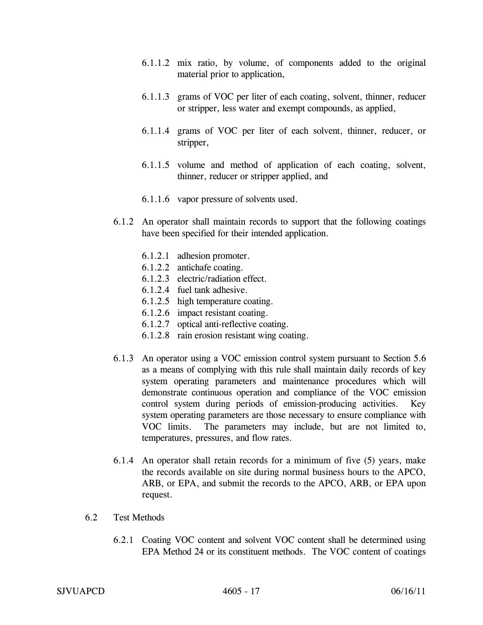- 6.1.1.2 mix ratio, by volume, of components added to the original material prior to application,
- 6.1.1.3 grams of VOC per liter of each coating, solvent, thinner, reducer or stripper, less water and exempt compounds, as applied,
- 6.1.1.4 grams of VOC per liter of each solvent, thinner, reducer, or stripper,
- 6.1.1.5 volume and method of application of each coating, solvent, thinner, reducer or stripper applied, and
- 6.1.1.6 vapor pressure of solvents used.
- 6.1.2 An operator shall maintain records to support that the following coatings have been specified for their intended application.
	- 6.1.2.1 adhesion promoter.
	- 6.1.2.2 antichafe coating.
	- 6.1.2.3 electric/radiation effect.
	- 6.1.2.4 fuel tank adhesive.
	- 6.1.2.5 high temperature coating.
	- 6.1.2.6 impact resistant coating.
	- 6.1.2.7 optical anti-reflective coating.
	- 6.1.2.8 rain erosion resistant wing coating.
- 6.1.3 An operator using a VOC emission control system pursuant to Section 5.6 as a means of complying with this rule shall maintain daily records of key system operating parameters and maintenance procedures which will demonstrate continuous operation and compliance of the VOC emission control system during periods of emission-producing activities. Key system operating parameters are those necessary to ensure compliance with VOC limits. The parameters may include, but are not limited to, temperatures, pressures, and flow rates.
- 6.1.4 An operator shall retain records for a minimum of five (5) years, make the records available on site during normal business hours to the APCO, ARB, or EPA, and submit the records to the APCO, ARB, or EPA upon request.
- 6.2 Test Methods
	- 6.2.1 Coating VOC content and solvent VOC content shall be determined using EPA Method 24 or its constituent methods. The VOC content of coatings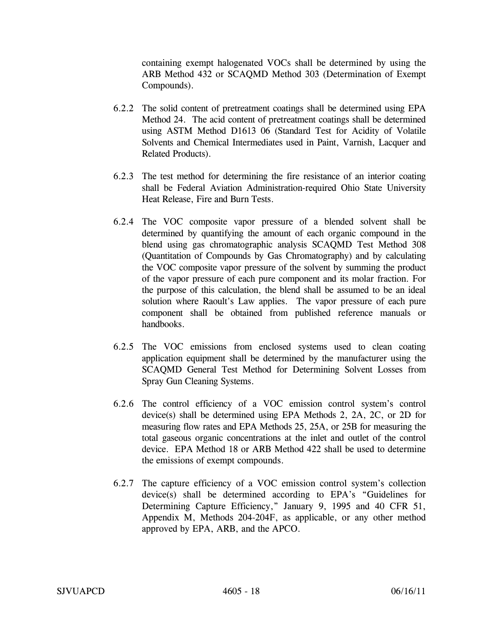containing exempt halogenated VOCs shall be determined by using the ARB Method 432 or SCAQMD Method 303 (Determination of Exempt Compounds).

- 6.2.2 The solid content of pretreatment coatings shall be determined using EPA Method 24. The acid content of pretreatment coatings shall be determined using ASTM Method D1613 06 (Standard Test for Acidity of Volatile Solvents and Chemical Intermediates used in Paint, Varnish, Lacquer and Related Products).
- 6.2.3 The test method for determining the fire resistance of an interior coating shall be Federal Aviation Administration-required Ohio State University Heat Release, Fire and Burn Tests.
- 6.2.4 The VOC composite vapor pressure of a blended solvent shall be determined by quantifying the amount of each organic compound in the blend using gas chromatographic analysis SCAQMD Test Method 308 (Quantitation of Compounds by Gas Chromatography) and by calculating the VOC composite vapor pressure of the solvent by summing the product of the vapor pressure of each pure component and its molar fraction. For the purpose of this calculation, the blend shall be assumed to be an ideal solution where Raoult's Law applies. The vapor pressure of each pure component shall be obtained from published reference manuals or handbooks.
- 6.2.5 The VOC emissions from enclosed systems used to clean coating application equipment shall be determined by the manufacturer using the SCAQMD General Test Method for Determining Solvent Losses from Spray Gun Cleaning Systems.
- 6.2.6 The control efficiency of a VOC emission control system's control device(s) shall be determined using EPA Methods 2, 2A, 2C, or 2D for measuring flow rates and EPA Methods 25, 25A, or 25B for measuring the total gaseous organic concentrations at the inlet and outlet of the control device. EPA Method 18 or ARB Method 422 shall be used to determine the emissions of exempt compounds.
- 6.2.7 The capture efficiency of a VOC emission control system's collection device(s) shall be determined according to EPA's "Guidelines for Determining Capture Efficiency," January 9, 1995 and 40 CFR 51, Appendix M, Methods 204-204F, as applicable, or any other method approved by EPA, ARB, and the APCO.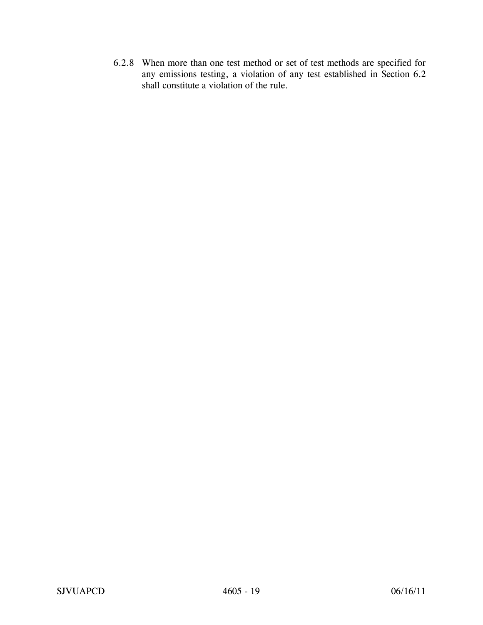6.2.8 When more than one test method or set of test methods are specified for any emissions testing, a violation of any test established in Section 6.2 shall constitute a violation of the rule.